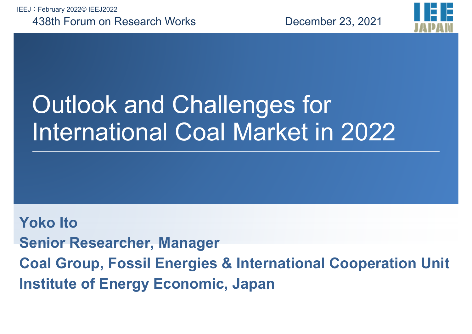IEEJ:February 2022© IEEJ2022

#### 438th Forum on Research Works

December 23, 2021



# Outlook and Challenges for International Coal Market in 2022

**Yoko ItoSenior Researcher, Manager Coal Group, Fossil Energies & International Cooperation Unit Institute of Energy Economic, Japan**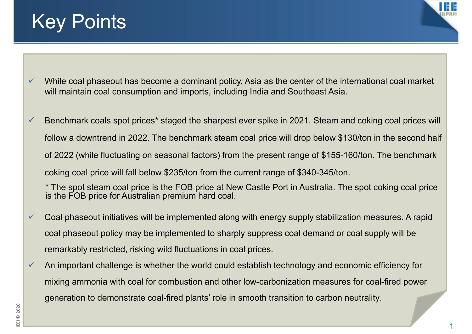### Key Points



- $\checkmark$  While coal phaseout has become a dominant policy, Asia as the center of the international coal market will maintain coal consumption and imports, including India and Southeast Asia.
- $\checkmark$  Benchmark coals spot prices\* staged the sharpest ever spike in 2021. Steam and coking coal prices will follow a downtrend in 2022. The benchmark steam coal price will drop below \$130/ton in the second half of 2022 (while fluctuating on seasonal factors) from the present range of \$155-160/ton. The benchmark coking coal price will fall below \$235/ton from the current range of \$340-345/ton.
	- \* The spot steam coal price is the FOB price at New Castle Port in Australia. The spot coking coal price is the FOB price for Australian premium hard coal.
- $\checkmark$  Coal phaseout initiatives will be implemented along with energy supply stabilization measures. A rapid coal phaseout policy may be implemented to sharply suppress coal demand or coal supply will be remarkably restricted, risking wild fluctuations in coal prices.
- $\checkmark$  An important challenge is whether the world could establish technology and economic efficiency for mixing ammonia with coal for combustion and other low-carbonization measures for coal-fired power generation to demonstrate coal-fired plants' role in smooth transition to carbon neutrality.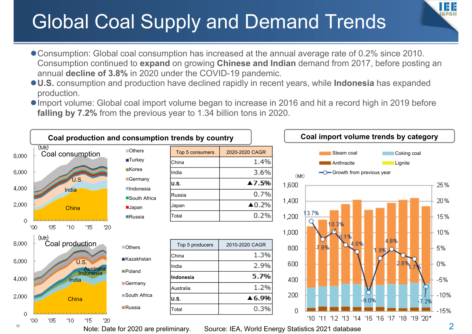## Global Coal Supply and Demand Trends

- Consumption: Global coal consumption has increased at the annual average rate of 0.2% since 2010. Consumption continued to **expand** on growing **Chinese and Indian** demand from 2017, before posting an annual **decline of 3.8%** in 2020 under the COVID-19 pandemic.
- **U.S.** consumption and production have declined rapidly in recent years, while **Indonesia** has expanded production.
- Import volume: Global coal import volume began to increase in 2016 and hit a record high in 2019 before **falling by 7.2%** from the previous year to 1.34 billion tons in 2020.



Note: Date for 2020 are preliminary. Source: IEA, World Energy Statistics 2021 database

IHE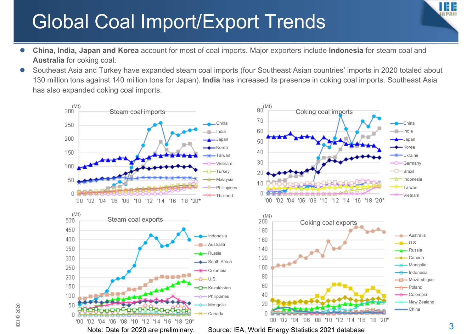## Global Coal Import/Export Trends

- $\bullet$  **China, India, Japan and Korea** account for most of coal imports. Major exporters include **Indonesia** for steam coal and **Australia** for coking coal.
- $\bullet$  Southeast Asia and Turkey have expanded steam coal imports (four Southeast Asian countries' imports in 2020 totaled about 130 million tons against 140 million tons for Japan). **India** has increased its presence in coking coal imports. Southeast Asia has also expanded coking coal imports.



3

IEE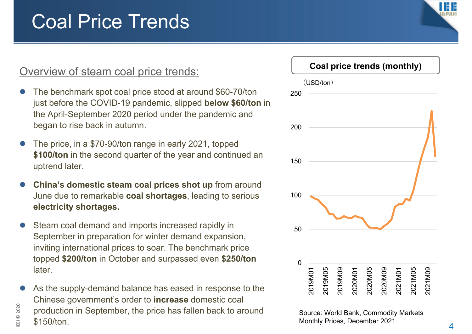### Coal Price Trends

#### Overview of steam coal price trends:

- $\bullet$  The benchmark spot coal price stood at around \$60-70/ton just before the COVID-19 pandemic, slipped **below \$60/ton** in the April-September 2020 period under the pandemic and began to rise back in autumn.
- $\bullet$  The price, in a \$70-90/ton range in early 2021, topped **\$100/ton** in the second quarter of the year and continued an uptrend later.
- $\bullet$ **China's domestic steam coal prices shot up** from around June due to remarkable **coal shortages**, leading to serious **electricity shortages.**
- $\bullet$  Steam coal demand and imports increased rapidly in September in preparation for winter demand expansion, inviting international prices to soar. The benchmark price topped **\$200/ton** in October and surpassed even **\$250/ton**  later.
- $\bullet$  As the supply-demand balance has eased in response to the Chinese government's order to **increase** domestic coal production in September, the price has fallen back to around \$150/ton.

 $\Xi$ 

© 2020



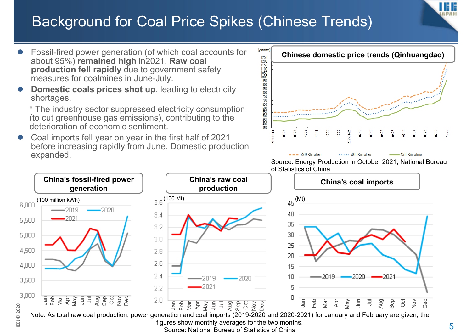### Background for Coal Price Spikes (Chinese Trends)



Note: As total raw coal production, power generation and coal imports (2019-2020 and 2020-2021) for January and February are given, the figures show monthly averages for the two months. Source: National Bureau of Statistics of China

 $\Xi$ 

Ш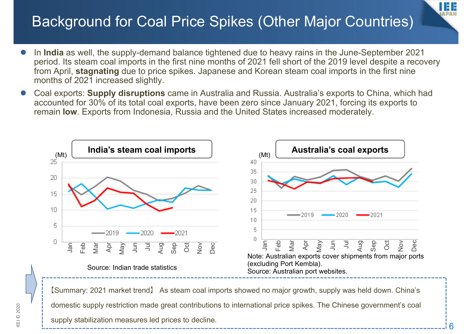### Background for Coal Price Spikes (Other Major Countries)

- $\bullet$  In **India** as well, the supply-demand balance tightened due to heavy rains in the June-September 2021 period. Its steam coal imports in the first nine months of 2021 fell short of the 2019 level despite a recovery from April, **stagnating** due to price spikes. Japanese and Korean steam coal imports in the first nine months of 2021 increased slightly.
- $\bullet$  Coal exports: **Supply disruptions** came in Australia and Russia. Australia's exports to China, which had accounted for 30% of its total coal exports, have been zero since January 2021, forcing its exports to remain **low**. Exports from Indonesia, Russia and the United States increased moderately.



【Summary: 2021 market trend】 As steam coal imports showed no major growth, supply was held down. China's domestic supply restriction made great contributions to international price spikes. The Chinese government's coal supply stabilization measures led prices to decline.

IHE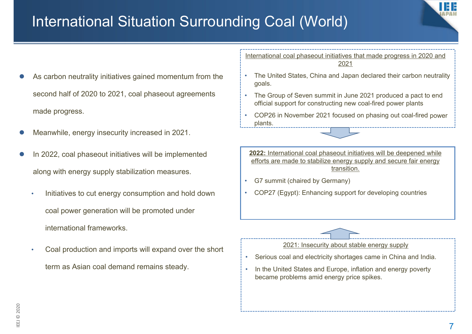

#### International Situation Surrounding Coal (World)

- $\bullet$  As carbon neutrality initiatives gained momentum from the second half of 2020 to 2021, coal phaseout agreements made progress.
- $\bullet$ Meanwhile, energy insecurity increased in 2021.
- $\bullet$  In 2022, coal phaseout initiatives will be implemented along with energy supply stabilization measures.
	- • Initiatives to cut energy consumption and hold down coal power generation will be promoted under international frameworks.
	- • Coal production and imports will expand over the short term as Asian coal demand remains steady.

International coal phaseout initiatives that made progress in 2020 and 2021

- The United States, China and Japan declared their carbon neutrality goals.
- The Group of Seven summit in June 2021 produced a pact to end official support for constructing new coal-fired power plants
- • COP26 in November 2021 focused on phasing out coal-fired power plants.

**2022:** International coal phaseout initiatives will be deepened while efforts are made to stabilize energy supply and secure fair energy transition.

- •G7 summit (chaired by Germany)
- •COP27 (Egypt): Enhancing support for developing countries



- •Serious coal and electricity shortages came in China and India.
- • In the United States and Europe, inflation and energy poverty became problems amid energy price spikes.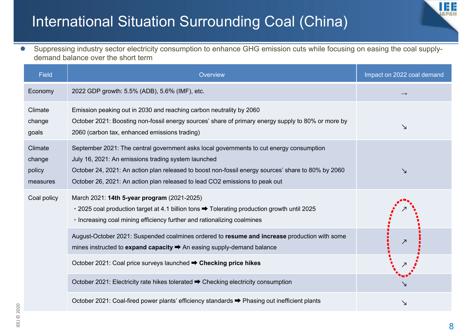#### International Situation Surrounding Coal (China)

 $\bullet$  Suppressing industry sector electricity consumption to enhance GHG emission cuts while focusing on easing the coal supplydemand balance over the short term

| <b>Field</b>                            | Overview                                                                                                                                                                                                                                                                                                                            | Impact on 2022 coal demand |
|-----------------------------------------|-------------------------------------------------------------------------------------------------------------------------------------------------------------------------------------------------------------------------------------------------------------------------------------------------------------------------------------|----------------------------|
| Economy                                 | 2022 GDP growth: 5.5% (ADB), 5.6% (IMF), etc.                                                                                                                                                                                                                                                                                       | $\rightarrow$              |
| Climate<br>change<br>goals              | Emission peaking out in 2030 and reaching carbon neutrality by 2060<br>October 2021: Boosting non-fossil energy sources' share of primary energy supply to 80% or more by<br>2060 (carbon tax, enhanced emissions trading)                                                                                                          | ↘                          |
| Climate<br>change<br>policy<br>measures | September 2021: The central government asks local governments to cut energy consumption<br>July 16, 2021: An emissions trading system launched<br>October 24, 2021: An action plan released to boost non-fossil energy sources' share to 80% by 2060<br>October 26, 2021: An action plan released to lead CO2 emissions to peak out | Δ                          |
| Coal policy                             | March 2021: 14th 5-year program (2021-2025)<br>• 2025 coal production target at 4.1 billion tons → Tolerating production growth until 2025<br>· Increasing coal mining efficiency further and rationalizing coalmines                                                                                                               |                            |
|                                         | August-October 2021: Suspended coalmines ordered to resume and increase production with some<br>mines instructed to expand capacity → An easing supply-demand balance                                                                                                                                                               |                            |
|                                         | October 2021: Coal price surveys launched → Checking price hikes                                                                                                                                                                                                                                                                    |                            |
|                                         | October 2021: Electricity rate hikes tolerated → Checking electricity consumption                                                                                                                                                                                                                                                   |                            |
|                                         | October 2021: Coal-fired power plants' efficiency standards → Phasing out inefficient plants                                                                                                                                                                                                                                        | ↘                          |

ш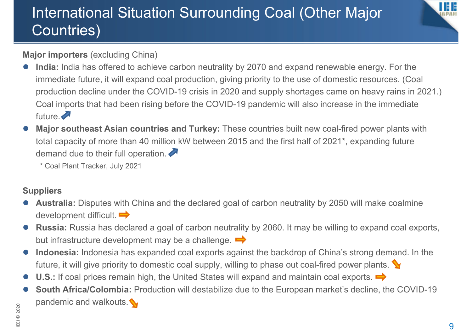### International Situation Surrounding Coal (Other Major Countries)



**Major importers** (excluding China)

- $\bullet$  **India:** India has offered to achieve carbon neutrality by 2070 and expand renewable energy. For the immediate future, it will expand coal production, giving priority to the use of domestic resources. (Coal production decline under the COVID-19 crisis in 2020 and supply shortages came on heavy rains in 2021.) Coal imports that had been rising before the COVID-19 pandemic will also increase in the immediate future.
- $\bullet$ **Major southeast Asian countries and Turkey:** These countries built new coal-fired power plants with total capacity of more than 40 million kW between 2015 and the first half of 2021\*, expanding future demand due to their full operation.

\* Coal Plant Tracker, July 2021

#### **Suppliers**

- $\bullet$  **Australia:** Disputes with China and the declared goal of carbon neutrality by 2050 will make coalmine development difficult.  $\Rightarrow$
- $\bullet$  **Russia:** Russia has declared a goal of carbon neutrality by 2060. It may be willing to expand coal exports, but infrastructure development may be a challenge.  $\Rightarrow$
- $\bullet$  **Indonesia:** Indonesia has expanded coal exports against the backdrop of China's strong demand. In the future, it will give priority to domestic coal supply, willing to phase out coal-fired power plants.
- $\bullet$ U.S.: If coal prices remain high, the United States will expand and maintain coal exports.
- $\bullet$  **South Africa/Colombia:** Production will destabilize due to the European market's decline, the COVID-19 pandemic and walkouts.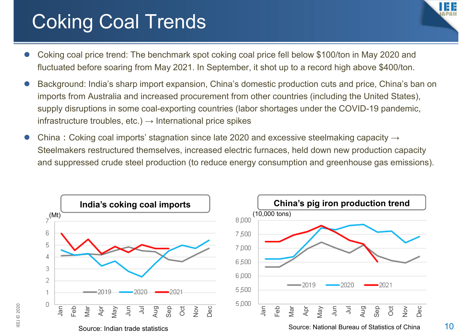## Coking Coal Trends

 $\Xi$ 

© 2020



- $\bullet$  Coking coal price trend: The benchmark spot coking coal price fell below \$100/ton in May 2020 and fluctuated before soaring from May 2021. In September, it shot up to a record high above \$400/ton.
- $\bullet$  Background: India's sharp import expansion, China's domestic production cuts and price, China's ban on imports from Australia and increased procurement from other countries (including the United States), supply disruptions in some coal-exporting countries (labor shortages under the COVID-19 pandemic, infrastructure troubles, etc.)  $\rightarrow$  International price spikes
- $\bullet$ China: Coking coal imports' stagnation since late 2020 and excessive steelmaking capacity  $\rightarrow$ Steelmakers restructured themselves, increased electric furnaces, held down new production capacity and suppressed crude steel production (to reduce energy consumption and greenhouse gas emissions).